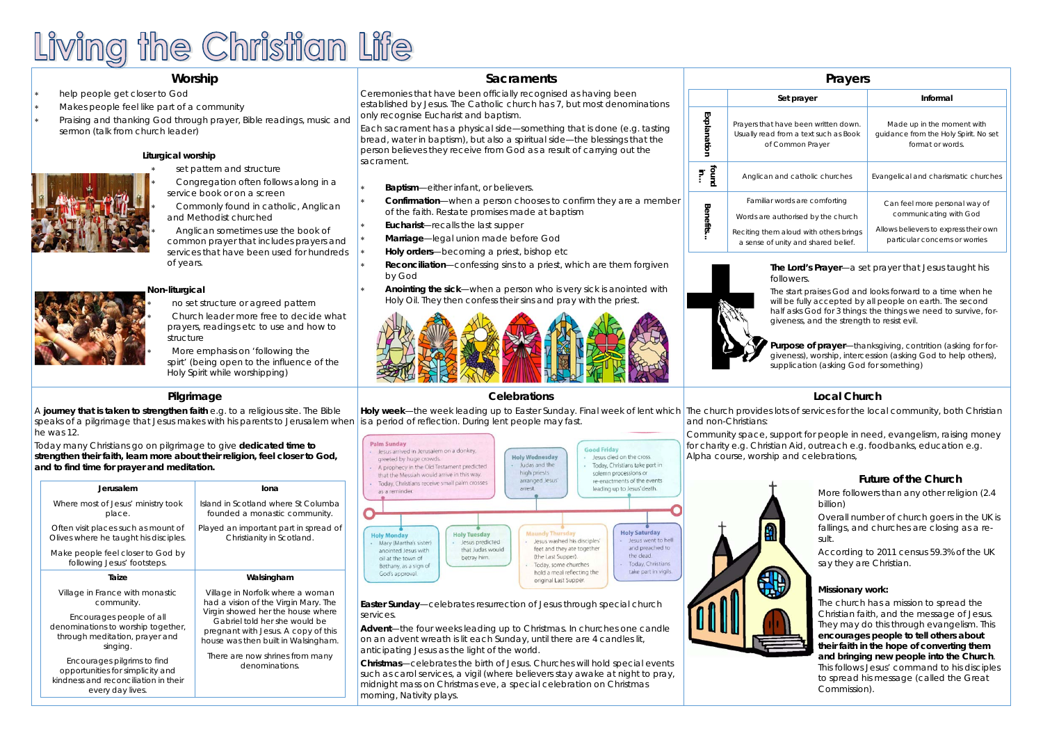# Living the Christian Life

### **Worship**

- \* help people get closer to God
- \* Makes people feel like part of a community
- \* Praising and thanking God through prayer, Bible readings, music and sermon (talk from church leader)

#### **Sacraments**

Ceremonies that have been officially recognised as having been established by Jesus. The Catholic church has 7, but most denominations only recognise Eucharist and baptism.

Each sacrament has a physical side—something that is done (e.g. tasting bread, water in baptism), but also a spiritual side—the blessings that the person believes they receive from God as a result of carrying out the sacrament.

**Baptism**—either infant, or believers.

\*.

\*.

\*.

\*.

\*.

- **Confirmation**—when a person chooses to confirm they are a member of the faith. Restate promises made at baptism
- **Eucharist**—recalls the last supper
- **Marriage**—legal union made before God
- **Holy orders**—becoming a priest, bishop etc
- \*. **Reconciliation**—confessing sins to a priest, which are them forgiven by God
- \*. **Anointing the sick**—when a person who is very sick is anointed with Holy Oil. They then confess their sins and pray with the priest.



#### **Pilgrimage**

**Holy week**—the week leading up to Easter Sunday. Final week of lent which | The church provides lots of services for the local community, both Christian is a period of reflection. During lent people may fast. and non-Christians:

**Palm Sunday** Good Eriday lesus arrived in Jerusalem on a donkey, **Holy Wednesday** Jesus died on the cross. greeted by huge crowds. Today, Christians take part in Judas and the A prophecy in the Old Testament predicted high priests solemn processions or that the Messiah would arrive in this way. arranged Jesus re-enactments of the events Today, Christians receive small palm crosses arrest leading up to Jesus' death. as a reminder. **Holy Saturday Holy Tuesday Holy Monday** esus went to hell Jesus washed his disciples lesus predicted Mary (Martha's sister) and preached to feet and they ate together anointed Jesus with that Judas would the dead. (the Last Supper). betray him. oil at the town of Today, Christians Today, some churches Bethany, as a sign of take part in vigils. hold a meal reflecting the God's approval original Last Supper.

A **journey that is taken to strengthen faith** e.g. to a religious site. The Bible speaks of a pilgrimage that Jesus makes with his parents to Jerusalem when he was 12.

Today many Christians go on pilgrimage to give **dedicated time to strengthen their faith, learn more about their religion, feel closer to God, and to find time for prayer and meditation.** 

#### **Celebrations**

**Easter Sunday**—celebrates resurrection of Jesus through special church services.

**Advent**—the four weeks leading up to Christmas. In churches one candle on an advent wreath is lit each Sunday, until there are 4 candles lit, anticipating Jesus as the light of the world.

**Christmas**—celebrates the birth of Jesus. Churches will hold special events such as carol services, a vigil (where believers stay awake at night to pray, midnight mass on Christmas eve, a special celebration on Christmas morning, Nativity plays.

| <b>Prayers</b>  |                                                                                                                                                      |                                                                                                                                    |  |  |  |  |  |
|-----------------|------------------------------------------------------------------------------------------------------------------------------------------------------|------------------------------------------------------------------------------------------------------------------------------------|--|--|--|--|--|
|                 | Set prayer                                                                                                                                           | Informal                                                                                                                           |  |  |  |  |  |
| Explanation     | Prayers that have been written down.<br>Usually read from a text such as Book<br>of Common Prayer                                                    | Made up in the moment with<br>quidance from the Holy Spirit. No set<br>format or words.                                            |  |  |  |  |  |
| punoj<br>i<br>E | Anglican and catholic churches                                                                                                                       | Evangelical and charismatic churches                                                                                               |  |  |  |  |  |
| Benefits.       | Familiar words are comforting<br>Words are authorised by the church<br>Reciting them aloud with others brings<br>a sense of unity and shared belief. | Can feel more personal way of<br>communicating with God<br>Allows believers to express their own<br>particular concerns or worries |  |  |  |  |  |

#### **Local Church**

Community space, support for people in need, evangelism, raising money for charity e.g. Christian Aid, outreach e.g. foodbanks, education e.g. Alpha course, worship and celebrations,







| Jerusalem                                                                                        | lona                                                                                                                                             |
|--------------------------------------------------------------------------------------------------|--------------------------------------------------------------------------------------------------------------------------------------------------|
| Where most of Jesus' ministry took<br>place.                                                     | Island in Scotland where St Columba<br>founded a monastic community.                                                                             |
| Often visit places such as mount of<br>Olives where he taught his disciples.                     | Played an important part in spread of<br>Christianity in Scotland.                                                                               |
| Make people feel closer to God by<br>following Jesus' footsteps.                                 |                                                                                                                                                  |
| Taize                                                                                            | Walsingham                                                                                                                                       |
| Village in France with monastic<br>community.                                                    | Village in Norfolk where a woman<br>had a vision of the Virgin Mary. The                                                                         |
| Encourages people of all<br>denominations to worship together,<br>through meditation, prayer and | Virgin showed her the house where<br>Gabriel told her she would be<br>pregnant with Jesus. A copy of this<br>house was then built in Walsingham. |
| singing.                                                                                         |                                                                                                                                                  |

**The Lord's Prayer**—a set prayer that Jesus taught his followers.

The start praises God and looks forward to a time when he will be fully accepted by all people on earth. The second half asks God for 3 things: the things we need to survive, forgiveness, and the strength to resist evil.

**Purpose of prayer**—thanksgiving, contrition (asking for forgiveness), worship, intercession (asking God to help others), supplication (asking God for something)

#### **Liturgical worship**

\*

\*

\*

- set pattern and structure
- \* Congregation often follows along in a service book or on a screen
	- Commonly found in catholic, Anglican and Methodist churched
- Anglican sometimes use the book of
- common prayer that includes prayers and services that have been used for hundreds of years.

## \* \* \*

#### **Non-liturgical**

- no set structure or agreed pattern
- Church leader more free to decide what prayers, readings etc to use and how to structure
	- More emphasis on 'following the spirt' (being open to the influence of the Holy Spirit while worshipping)

#### **Future of the Church**

More followers than any other religion (2.4 billion)

Overall number of church goers in the UK is fallings, and churches are closing as a result.

According to 2011 census 59.3% of the UK say they are Christian.

#### **Missionary work:**

The church has a mission to spread the Christian faith, and the message of Jesus. They may do this through evangelism. This **encourages people to tell others about their faith in the hope of converting them and bringing new people into the Church**. This follows Jesus' command to his disciples to spread his message (called the Great Commission).